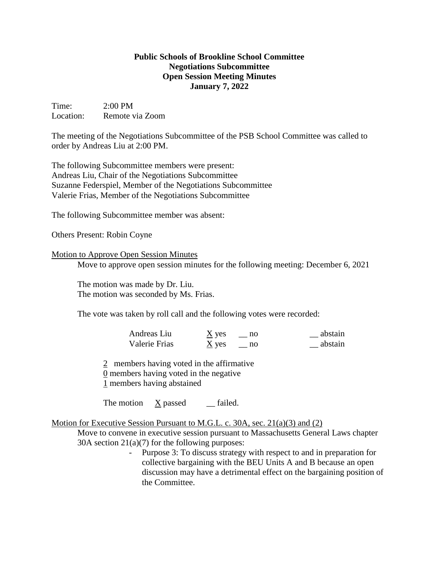## **Public Schools of Brookline School Committee Negotiations Subcommittee Open Session Meeting Minutes January 7, 2022**

Time: 2:00 PM Location: Remote via Zoom

The meeting of the Negotiations Subcommittee of the PSB School Committee was called to order by Andreas Liu at 2:00 PM.

The following Subcommittee members were present: Andreas Liu, Chair of the Negotiations Subcommittee Suzanne Federspiel, Member of the Negotiations Subcommittee Valerie Frias, Member of the Negotiations Subcommittee

The following Subcommittee member was absent:

Others Present: Robin Coyne

## Motion to Approve Open Session Minutes

Move to approve open session minutes for the following meeting: December 6, 2021

The motion was made by Dr. Liu. The motion was seconded by Ms. Frias.

The vote was taken by roll call and the following votes were recorded:

| Andreas Liu   | $\underline{X}$ yes | abstain |
|---------------|---------------------|---------|
| Valerie Frias | $\underline{X}$ yes | abstain |

2 members having voted in the affirmative 0 members having voted in the negative 1 members having abstained

The motion X passed \_\_ failed.

## Motion for Executive Session Pursuant to M.G.L. c. 30A, sec. 21(a)(3) and (2)

Move to convene in executive session pursuant to Massachusetts General Laws chapter 30A section  $21(a)(7)$  for the following purposes:

> - Purpose 3: To discuss strategy with respect to and in preparation for collective bargaining with the BEU Units A and B because an open discussion may have a detrimental effect on the bargaining position of the Committee.